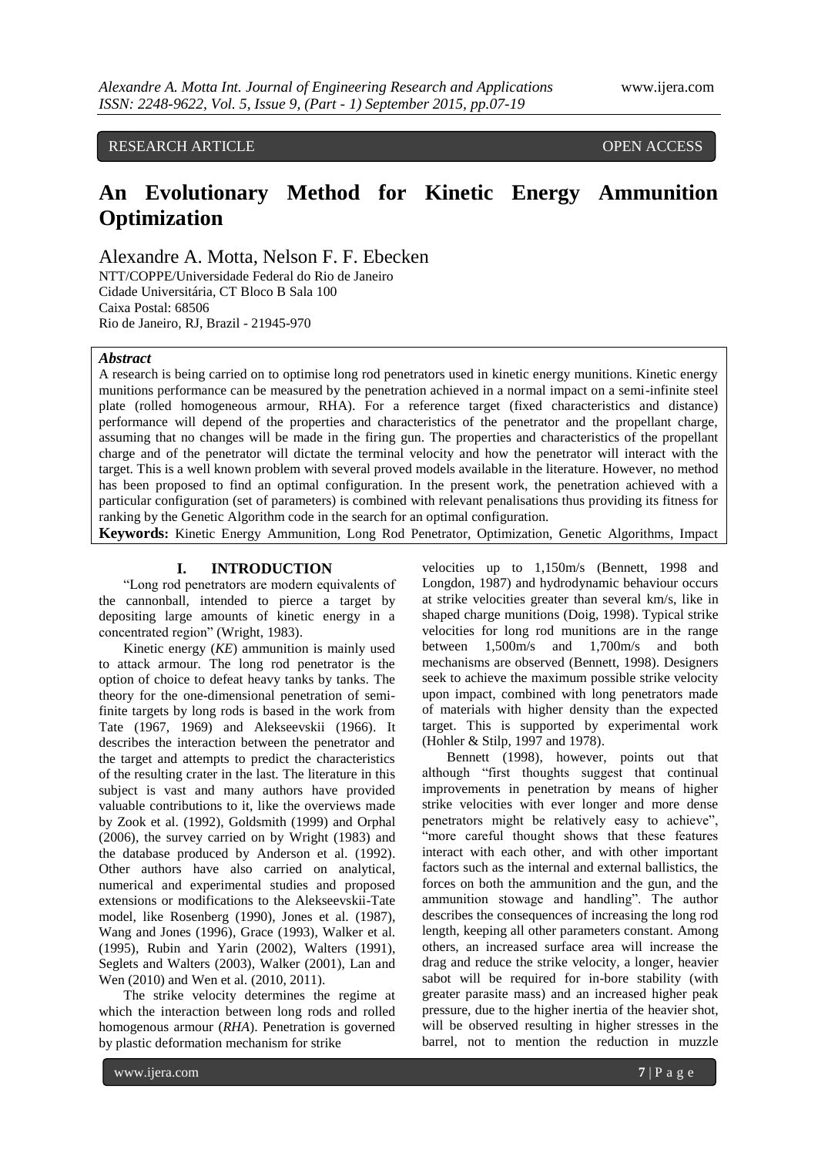# RESEARCH ARTICLE **CONSERVERS** OPEN ACCESS

# **An Evolutionary Method for Kinetic Energy Ammunition Optimization**

Alexandre A. Motta, Nelson F. F. Ebecken

NTT/COPPE/Universidade Federal do Rio de Janeiro Cidade Universitária, CT Bloco B Sala 100 Caixa Postal: 68506 Rio de Janeiro, RJ, Brazil - 21945-970

# *Abstract*

A research is being carried on to optimise long rod penetrators used in kinetic energy munitions. Kinetic energy munitions performance can be measured by the penetration achieved in a normal impact on a semi-infinite steel plate (rolled homogeneous armour, RHA). For a reference target (fixed characteristics and distance) performance will depend of the properties and characteristics of the penetrator and the propellant charge, assuming that no changes will be made in the firing gun. The properties and characteristics of the propellant charge and of the penetrator will dictate the terminal velocity and how the penetrator will interact with the target. This is a well known problem with several proved models available in the literature. However, no method has been proposed to find an optimal configuration. In the present work, the penetration achieved with a particular configuration (set of parameters) is combined with relevant penalisations thus providing its fitness for ranking by the Genetic Algorithm code in the search for an optimal configuration.

**Keywords:** Kinetic Energy Ammunition, Long Rod Penetrator, Optimization, Genetic Algorithms, Impact

## **I. INTRODUCTION**

"Long rod penetrators are modern equivalents of the cannonball, intended to pierce a target by depositing large amounts of kinetic energy in a concentrated region" (Wright, 1983).

Kinetic energy (*KE*) ammunition is mainly used to attack armour. The long rod penetrator is the option of choice to defeat heavy tanks by tanks. The theory for the one-dimensional penetration of semifinite targets by long rods is based in the work from Tate (1967, 1969) and Alekseevskii (1966). It describes the interaction between the penetrator and the target and attempts to predict the characteristics of the resulting crater in the last. The literature in this subject is vast and many authors have provided valuable contributions to it, like the overviews made by Zook et al. (1992), Goldsmith (1999) and Orphal (2006), the survey carried on by Wright (1983) and the database produced by Anderson et al. (1992). Other authors have also carried on analytical, numerical and experimental studies and proposed extensions or modifications to the Alekseevskii-Tate model, like Rosenberg (1990), Jones et al. (1987), Wang and Jones (1996), Grace (1993), Walker et al. (1995), Rubin and Yarin (2002), Walters (1991), Seglets and Walters (2003), Walker (2001), Lan and Wen (2010) and Wen et al. (2010, 2011).

The strike velocity determines the regime at which the interaction between long rods and rolled homogenous armour (*RHA*). Penetration is governed by plastic deformation mechanism for strike

velocities up to 1,150m/s (Bennett, 1998 and Longdon, 1987) and hydrodynamic behaviour occurs at strike velocities greater than several km/s, like in shaped charge munitions (Doig, 1998). Typical strike velocities for long rod munitions are in the range between 1,500m/s and 1,700m/s and both mechanisms are observed (Bennett, 1998). Designers seek to achieve the maximum possible strike velocity upon impact, combined with long penetrators made of materials with higher density than the expected target. This is supported by experimental work (Hohler & Stilp, 1997 and 1978).

Bennett (1998), however, points out that although "first thoughts suggest that continual improvements in penetration by means of higher strike velocities with ever longer and more dense penetrators might be relatively easy to achieve", "more careful thought shows that these features interact with each other, and with other important factors such as the internal and external ballistics, the forces on both the ammunition and the gun, and the ammunition stowage and handling". The author describes the consequences of increasing the long rod length, keeping all other parameters constant. Among others, an increased surface area will increase the drag and reduce the strike velocity, a longer, heavier sabot will be required for in-bore stability (with greater parasite mass) and an increased higher peak pressure, due to the higher inertia of the heavier shot, will be observed resulting in higher stresses in the barrel, not to mention the reduction in muzzle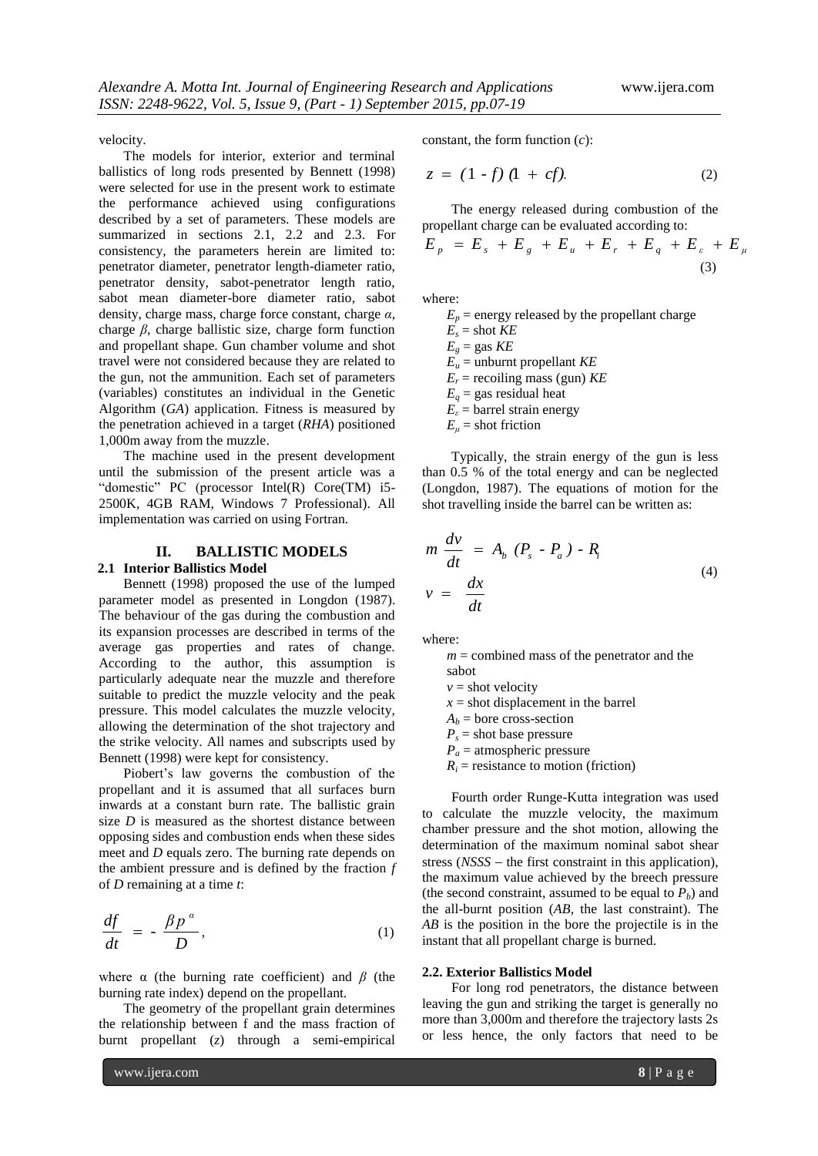velocity.

The models for interior, exterior and terminal ballistics of long rods presented by Bennett (1998) were selected for use in the present work to estimate the performance achieved using configurations described by a set of parameters. These models are summarized in sections 2.1, 2.2 and 2.3. For consistency, the parameters herein are limited to: penetrator diameter, penetrator length-diameter ratio, penetrator density, sabot-penetrator length ratio, sabot mean diameter-bore diameter ratio, sabot density, charge mass, charge force constant, charge *α*, charge *β*, charge ballistic size, charge form function and propellant shape. Gun chamber volume and shot travel were not considered because they are related to the gun, not the ammunition. Each set of parameters (variables) constitutes an individual in the Genetic Algorithm (*GA*) application. Fitness is measured by the penetration achieved in a target (*RHA*) positioned 1,000m away from the muzzle.

The machine used in the present development until the submission of the present article was a "domestic" PC (processor Intel(R) Core(TM) i5- 2500K, 4GB RAM, Windows 7 Professional). All implementation was carried on using Fortran.

# **II. BALLISTIC MODELS**

# **2.1 Interior Ballistics Model**

Bennett (1998) proposed the use of the lumped parameter model as presented in Longdon (1987). The behaviour of the gas during the combustion and its expansion processes are described in terms of the average gas properties and rates of change. According to the author, this assumption is particularly adequate near the muzzle and therefore suitable to predict the muzzle velocity and the peak pressure. This model calculates the muzzle velocity, allowing the determination of the shot trajectory and the strike velocity. All names and subscripts used by Bennett (1998) were kept for consistency.

Piobert's law governs the combustion of the propellant and it is assumed that all surfaces burn inwards at a constant burn rate. The ballistic grain size *D* is measured as the shortest distance between opposing sides and combustion ends when these sides meet and *D* equals zero. The burning rate depends on the ambient pressure and is defined by the fraction *f* of *D* remaining at a time *t*:

$$
\frac{df}{dt} = -\frac{\beta p^{\alpha}}{D},\tag{1}
$$

where  $\alpha$  (the burning rate coefficient) and  $\beta$  (the burning rate index) depend on the propellant.

The geometry of the propellant grain determines the relationship between f and the mass fraction of burnt propellant (*z*) through a semi-empirical

constant, the form function (*c*):

$$
z = (1 - f) (1 + cf).
$$
 (2)

The energy released during combustion of the propellant charge can be evaluated according to:

$$
E_p = E_s + E_g + E_u + E_r + E_q + E_{\varepsilon} + E_{\mu}
$$
\n(3)

where:

 $E_p$  = energy released by the propellant charge  $E<sub>s</sub>$  = shot *KE*  $E<sub>g</sub>$  = gas *KE*  $E_u$  = unburnt propellant *KE*  $E_r$  = recoiling mass (gun)  $KE$  $E_q$  = gas residual heat  $E<sub>\epsilon</sub>$  = barrel strain energy  $E_\mu$  = shot friction

Typically, the strain energy of the gun is less than 0.5 % of the total energy and can be neglected (Longdon, 1987). The equations of motion for the shot travelling inside the barrel can be written as:

$$
m \frac{dv}{dt} = A_b (P_s - P_a) - R_i
$$
  

$$
v = \frac{dx}{dt}
$$
 (4)

where:

 $m =$  combined mass of the penetrator and the sabot

 $v =$ shot velocity

 $x =$ shot displacement in the barrel  $A_b$  = bore cross-section

 $P_s$  = shot base pressure

 $P_a$  = atmospheric pressure

 $R_i$  = resistance to motion (friction)

Fourth order Runge-Kutta integration was used to calculate the muzzle velocity, the maximum chamber pressure and the shot motion, allowing the determination of the maximum nominal sabot shear stress (*NSSS* – the first constraint in this application), the maximum value achieved by the breech pressure (the second constraint, assumed to be equal to  $P_b$ ) and the all-burnt position (*AB*, the last constraint). The *AB* is the position in the bore the projectile is in the instant that all propellant charge is burned.

## **2.2. Exterior Ballistics Model**

For long rod penetrators, the distance between leaving the gun and striking the target is generally no more than 3,000m and therefore the trajectory lasts 2s or less hence, the only factors that need to be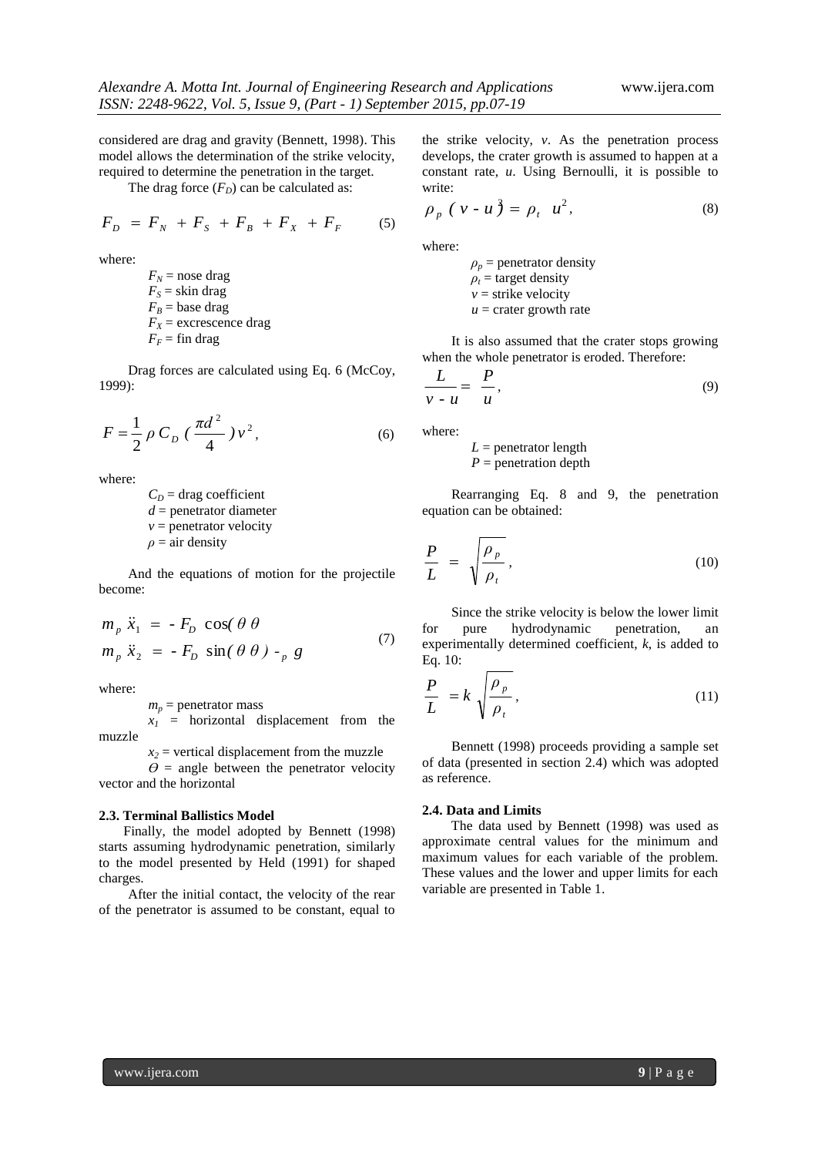considered are drag and gravity (Bennett, 1998). This model allows the determination of the strike velocity, required to determine the penetration in the target.

The drag force  $(F_D)$  can be calculated as:

$$
F_D = F_N + F_S + F_B + F_X + F_F \tag{5}
$$

where:

 $F_N$  = nose drag  $F_S$  = skin drag  $F_B$  = base drag  $F_X$  = excrescence drag  $F_F$  = fin drag

Drag forces are calculated using Eq. 6 (McCoy, 1999):

$$
F = \frac{1}{2} \rho C_D \left( \frac{\pi d^2}{4} \right) v^2, \tag{6}
$$

where:

 $C<sub>D</sub>$  = drag coefficient *d* = penetrator diameter  $v =$  penetrator velocity  $\rho = \text{air density}$ 

And the equations of motion for the projectile become:

$$
m_p \ddot{x}_1 = -F_D \cos(\theta \theta)
$$
  
\n
$$
m_p \ddot{x}_2 = -F_D \sin(\theta \theta) - p g
$$
\n(7)

where:

 $m_p$  = penetrator mass

 $x_1$  = horizontal displacement from the muzzle

 $x_2$  = vertical displacement from the muzzle

 $\theta$  = angle between the penetrator velocity vector and the horizontal

#### **2.3. Terminal Ballistics Model**

Finally, the model adopted by Bennett (1998) starts assuming hydrodynamic penetration, similarly to the model presented by Held (1991) for shaped charges.

After the initial contact, the velocity of the rear of the penetrator is assumed to be constant, equal to

the strike velocity, *v*. As the penetration process develops, the crater growth is assumed to happen at a constant rate, *u*. Using Bernoulli, it is possible to write:

$$
\rho_p (v - u) = \rho_t u^2, \qquad (8)
$$

where:

 $\rho_p$  = penetrator density  $\rho_t$  = target density  $v =$ strike velocity  $u =$  crater growth rate

It is also assumed that the crater stops growing when the whole penetrator is eroded. Therefore:

$$
\frac{L}{v - u} = \frac{P}{u},\tag{9}
$$

where:

 $L =$  penetrator length  $P =$  penetration depth

Rearranging Eq. 8 and 9, the penetration equation can be obtained:

$$
\frac{P}{L} = \sqrt{\frac{\rho_p}{\rho_t}},\tag{10}
$$

Since the strike velocity is below the lower limit for pure hydrodynamic penetration, an experimentally determined coefficient, *k*, is added to Eq. 10:

$$
\frac{P}{L} = k \sqrt{\frac{\rho_p}{\rho_t}},\tag{11}
$$

Bennett (1998) proceeds providing a sample set of data (presented in section 2.4) which was adopted as reference.

#### **2.4. Data and Limits**

The data used by Bennett (1998) was used as approximate central values for the minimum and maximum values for each variable of the problem. These values and the lower and upper limits for each variable are presented in Table 1.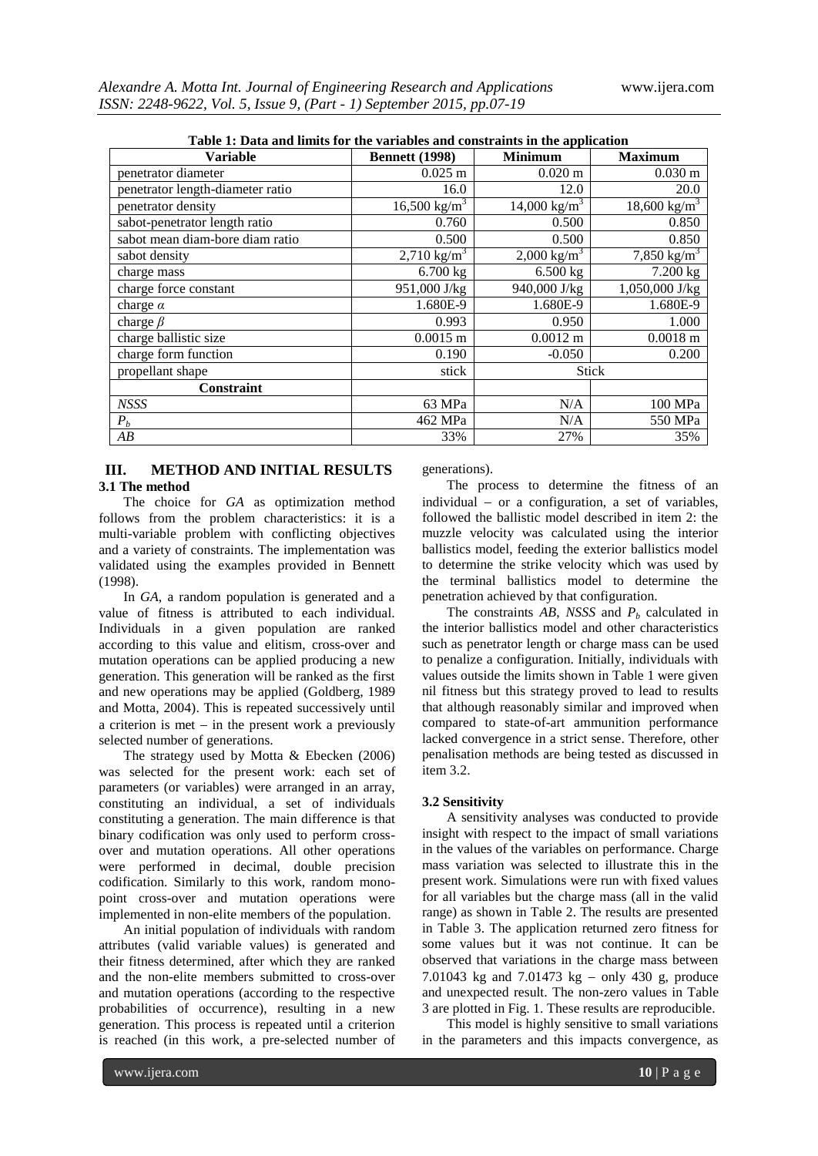| Table 1: Data and limits for the variables and constraints in the application |                            |                         |                         |  |  |  |  |
|-------------------------------------------------------------------------------|----------------------------|-------------------------|-------------------------|--|--|--|--|
| <b>Variable</b>                                                               | <b>Bennett</b> (1998)      | <b>Minimum</b>          | <b>Maximum</b>          |  |  |  |  |
| penetrator diameter                                                           | $0.025$ m                  | $0.020 \text{ m}$       | $0.030 \text{ m}$       |  |  |  |  |
| penetrator length-diameter ratio                                              | 16.0                       | 12.0                    | 20.0                    |  |  |  |  |
| penetrator density                                                            | $16,500$ kg/m <sup>3</sup> | $14,000 \text{ kg/m}^3$ | $18,600 \text{ kg/m}^3$ |  |  |  |  |
| sabot-penetrator length ratio                                                 | 0.760                      | 0.500                   | 0.850                   |  |  |  |  |
| sabot mean diam-bore diam ratio                                               | 0.500                      | 0.500                   | 0.850                   |  |  |  |  |
| sabot density                                                                 | 2,710 kg/m <sup>3</sup>    | $2,000 \text{ kg/m}^3$  | 7,850 kg/m <sup>3</sup> |  |  |  |  |
| charge mass                                                                   | $6.700$ kg                 | $6.500$ kg              | 7.200 kg                |  |  |  |  |
| charge force constant                                                         | 951,000 J/kg               | 940,000 J/kg            | 1,050,000 J/kg          |  |  |  |  |
| charge $\alpha$                                                               | 1.680E-9                   | 1.680E-9                | 1.680E-9                |  |  |  |  |
| charge $\beta$                                                                | 0.993                      | 0.950                   | 1.000                   |  |  |  |  |
| charge ballistic size                                                         | $0.0015 \; m$              | $0.0012 \text{ m}$      | $0.0018 \text{ m}$      |  |  |  |  |
| charge form function                                                          | 0.190                      | $-0.050$                | 0.200                   |  |  |  |  |
| propellant shape                                                              | stick                      | <b>Stick</b>            |                         |  |  |  |  |
| <b>Constraint</b>                                                             |                            |                         |                         |  |  |  |  |
| <b>NSSS</b>                                                                   | 63 MPa                     | N/A                     | 100 MPa                 |  |  |  |  |
| $P_b$                                                                         | 462 MPa                    | N/A                     | 550 MPa                 |  |  |  |  |
| AB                                                                            | 33%                        | 27%                     | 35%                     |  |  |  |  |

**Table 1: Data and limits for the variables and constraints in the application**

# **III. METHOD AND INITIAL RESULTS 3.1 The method**

The choice for *GA* as optimization method follows from the problem characteristics: it is a multi-variable problem with conflicting objectives and a variety of constraints. The implementation was validated using the examples provided in Bennett (1998).

In *GA*, a random population is generated and a value of fitness is attributed to each individual. Individuals in a given population are ranked according to this value and elitism, cross-over and mutation operations can be applied producing a new generation. This generation will be ranked as the first and new operations may be applied (Goldberg, 1989 and Motta, 2004). This is repeated successively until a criterion is met  $-$  in the present work a previously selected number of generations.

The strategy used by Motta & Ebecken (2006) was selected for the present work: each set of parameters (or variables) were arranged in an array, constituting an individual, a set of individuals constituting a generation. The main difference is that binary codification was only used to perform crossover and mutation operations. All other operations were performed in decimal, double precision codification. Similarly to this work, random monopoint cross-over and mutation operations were implemented in non-elite members of the population.

An initial population of individuals with random attributes (valid variable values) is generated and their fitness determined, after which they are ranked and the non-elite members submitted to cross-over and mutation operations (according to the respective probabilities of occurrence), resulting in a new generation. This process is repeated until a criterion is reached (in this work, a pre-selected number of

generations).

The process to determine the fitness of an individual  $-$  or a configuration, a set of variables, followed the ballistic model described in item 2: the muzzle velocity was calculated using the interior ballistics model, feeding the exterior ballistics model to determine the strike velocity which was used by the terminal ballistics model to determine the penetration achieved by that configuration.

The constraints  $AB$ , *NSSS* and  $P<sub>b</sub>$  calculated in the interior ballistics model and other characteristics such as penetrator length or charge mass can be used to penalize a configuration. Initially, individuals with values outside the limits shown in Table 1 were given nil fitness but this strategy proved to lead to results that although reasonably similar and improved when compared to state-of-art ammunition performance lacked convergence in a strict sense. Therefore, other penalisation methods are being tested as discussed in item 3.2.

## **3.2 Sensitivity**

A sensitivity analyses was conducted to provide insight with respect to the impact of small variations in the values of the variables on performance. Charge mass variation was selected to illustrate this in the present work. Simulations were run with fixed values for all variables but the charge mass (all in the valid range) as shown in Table 2. The results are presented in Table 3. The application returned zero fitness for some values but it was not continue. It can be observed that variations in the charge mass between 7.01043 kg and 7.01473 kg  $-$  only 430 g, produce and unexpected result. The non-zero values in Table 3 are plotted in Fig. 1. These results are reproducible.

This model is highly sensitive to small variations in the parameters and this impacts convergence, as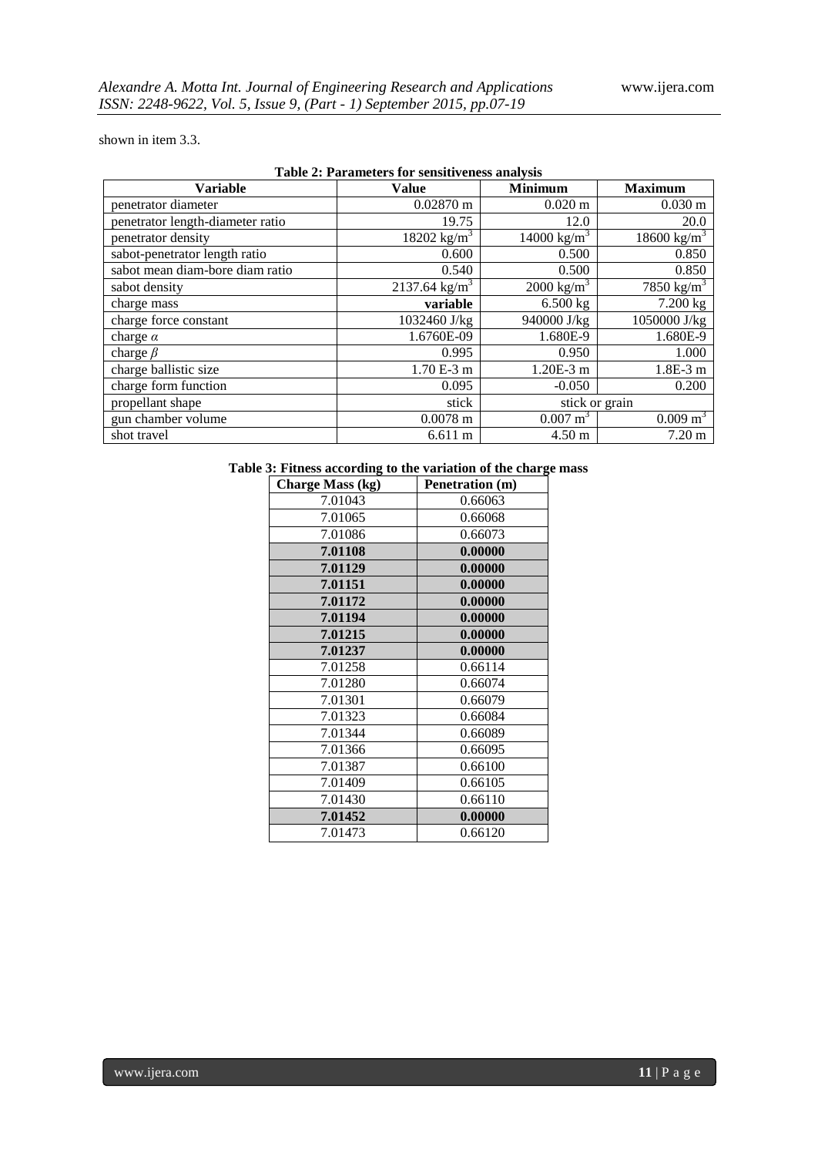shown in item 3.3.

| $1$ abit $2$ . I al allierely for schsitt vehess and vsis |                             |                       |                         |  |  |  |  |
|-----------------------------------------------------------|-----------------------------|-----------------------|-------------------------|--|--|--|--|
| <b>Variable</b>                                           | <b>Value</b>                | <b>Minimum</b>        | <b>Maximum</b>          |  |  |  |  |
| penetrator diameter                                       | $0.02870 \text{ m}$         | $0.020 \text{ m}$     | $0.030 \text{ m}$       |  |  |  |  |
| penetrator length-diameter ratio                          | 19.75                       | 12.0                  | 20.0                    |  |  |  |  |
| penetrator density                                        | 18202 kg/m <sup>3</sup>     | 14000 $kg/m^3$        | 18600 kg/m <sup>3</sup> |  |  |  |  |
| sabot-penetrator length ratio                             | 0.600                       | 0.500                 | 0.850                   |  |  |  |  |
| sabot mean diam-bore diam ratio                           | 0.540                       | 0.500                 | 0.850                   |  |  |  |  |
| sabot density                                             | $2137.64$ kg/m <sup>3</sup> | $2000 \text{ kg/m}^3$ | 7850 kg/m <sup>3</sup>  |  |  |  |  |
| charge mass                                               | variable                    | $6.500 \text{ kg}$    | 7.200 kg                |  |  |  |  |
| charge force constant                                     | 1032460 J/kg                | 940000 J/kg           | 1050000 J/kg            |  |  |  |  |
| charge $\alpha$                                           | 1.6760E-09                  | 1.680E-9              | 1.680E-9                |  |  |  |  |
| charge $\beta$                                            | 0.995                       | 0.950                 | 1.000                   |  |  |  |  |
| charge ballistic size                                     | 1.70 E-3 m                  | $1.20E-3$ m           | $1.8E-3$ m              |  |  |  |  |
| charge form function                                      | 0.095                       | $-0.050$              | 0.200                   |  |  |  |  |
| propellant shape                                          | stick                       | stick or grain        |                         |  |  |  |  |
| gun chamber volume                                        | $0.0078$ m                  | $0.007 \text{ m}^3$   | $0.009 \text{ m}^3$     |  |  |  |  |
| shot travel                                               | 6.611 m                     | $4.50 \text{ m}$      | $7.20 \text{ m}$        |  |  |  |  |

# **Table 2: Parameters for sensitiveness analysis**

# **Table 3: Fitness according to the variation of the charge mass**

| <b>Charge Mass (kg)</b> | Penetration (m) |
|-------------------------|-----------------|
| 7.01043                 | 0.66063         |
| 7.01065                 | 0.66068         |
| 7.01086                 | 0.66073         |
| 7.01108                 | 0.00000         |
| 7.01129                 | 0.00000         |
| 7.01151                 | 0.00000         |
| 7.01172                 | 0.00000         |
| 7.01194                 | 0.00000         |
| 7.01215                 | 0.00000         |
| 7.01237                 | 0.00000         |
| 7.01258                 | 0.66114         |
| 7.01280                 | 0.66074         |
| 7.01301                 | 0.66079         |
| 7.01323                 | 0.66084         |
| 7.01344                 | 0.66089         |
| 7.01366                 | 0.66095         |
| 7.01387                 | 0.66100         |
| 7.01409                 | 0.66105         |
| 7.01430                 | 0.66110         |
| 7.01452                 | 0.00000         |
| 7.01473                 | 0.66120         |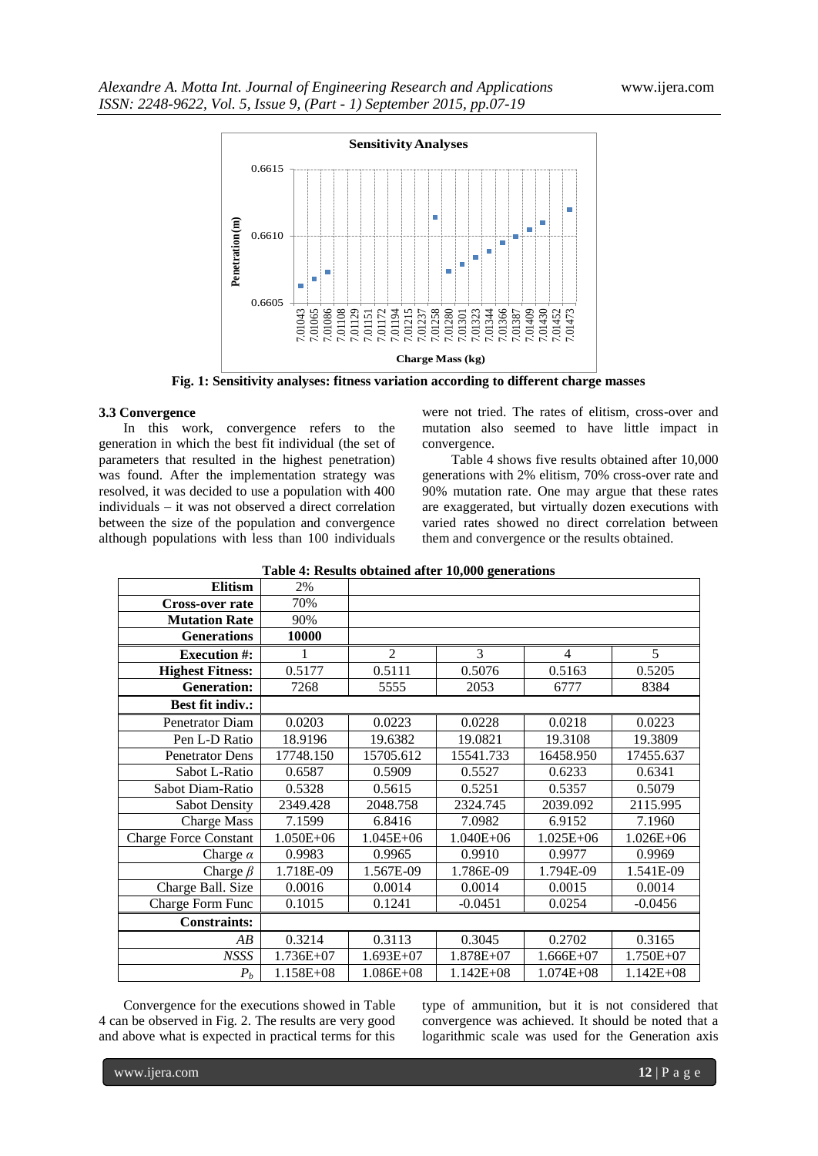

**Fig. 1: Sensitivity analyses: fitness variation according to different charge masses**

### **3.3 Convergence**

In this work, convergence refers to the generation in which the best fit individual (the set of parameters that resulted in the highest penetration) was found. After the implementation strategy was resolved, it was decided to use a population with 400 individuals – it was not observed a direct correlation between the size of the population and convergence although populations with less than 100 individuals

were not tried. The rates of elitism, cross-over and mutation also seemed to have little impact in convergence.

Table 4 shows five results obtained after 10,000 generations with 2% elitism, 70% cross-over rate and 90% mutation rate. One may argue that these rates are exaggerated, but virtually dozen executions with varied rates showed no direct correlation between them and convergence or the results obtained.

| <b>Elitism</b>               | 2%        |                |               |                |               |
|------------------------------|-----------|----------------|---------------|----------------|---------------|
| <b>Cross-over rate</b>       | 70%       |                |               |                |               |
| <b>Mutation Rate</b>         | 90%       |                |               |                |               |
| <b>Generations</b>           | 10000     |                |               |                |               |
| <b>Execution #:</b>          | 1         | $\overline{c}$ | 3             | $\overline{4}$ | 5             |
| <b>Highest Fitness:</b>      | 0.5177    | 0.5111         | 0.5076        | 0.5163         | 0.5205        |
| <b>Generation:</b>           | 7268      | 5555           | 2053          | 6777           | 8384          |
| <b>Best fit indiv.:</b>      |           |                |               |                |               |
| Penetrator Diam              | 0.0203    | 0.0223         | 0.0228        | 0.0218         | 0.0223        |
| Pen L-D Ratio                | 18.9196   | 19.6382        | 19.0821       | 19.3108        | 19.3809       |
| <b>Penetrator Dens</b>       | 17748.150 | 15705.612      | 15541.733     | 16458.950      | 17455.637     |
| Sabot L-Ratio                | 0.6587    | 0.5909         | 0.5527        | 0.6233         | 0.6341        |
| Sabot Diam-Ratio             | 0.5328    | 0.5615         | 0.5251        | 0.5357         | 0.5079        |
| <b>Sabot Density</b>         | 2349.428  | 2048.758       | 2324.745      | 2039.092       | 2115.995      |
| <b>Charge Mass</b>           | 7.1599    | 6.8416         | 7.0982        | 6.9152         | 7.1960        |
| <b>Charge Force Constant</b> | 1.050E+06 | 1.045E+06      | $1.040E + 06$ | $1.025E + 06$  | $1.026E + 06$ |
| Charge $\alpha$              | 0.9983    | 0.9965         | 0.9910        | 0.9977         | 0.9969        |
| Charge $\beta$               | 1.718E-09 | 1.567E-09      | 1.786E-09     | 1.794E-09      | 1.541E-09     |
| Charge Ball. Size            | 0.0016    | 0.0014         | 0.0014        | 0.0015         | 0.0014        |
| Charge Form Func             | 0.1015    | 0.1241         | $-0.0451$     | 0.0254         | $-0.0456$     |
| <b>Constraints:</b>          |           |                |               |                |               |
| AB                           | 0.3214    | 0.3113         | 0.3045        | 0.2702         | 0.3165        |
| <b>NSSS</b>                  | 1.736E+07 | $1.693E+07$    | 1.878E+07     | $1.666E + 07$  | 1.750E+07     |
| $P_b$                        | 1.158E+08 | 1.086E+08      | $1.142E + 08$ | $1.074E + 08$  | $1.142E + 08$ |

**Table 4: Results obtained after 10,000 generations**

Convergence for the executions showed in Table 4 can be observed in Fig. 2. The results are very good and above what is expected in practical terms for this

type of ammunition, but it is not considered that convergence was achieved. It should be noted that a logarithmic scale was used for the Generation axis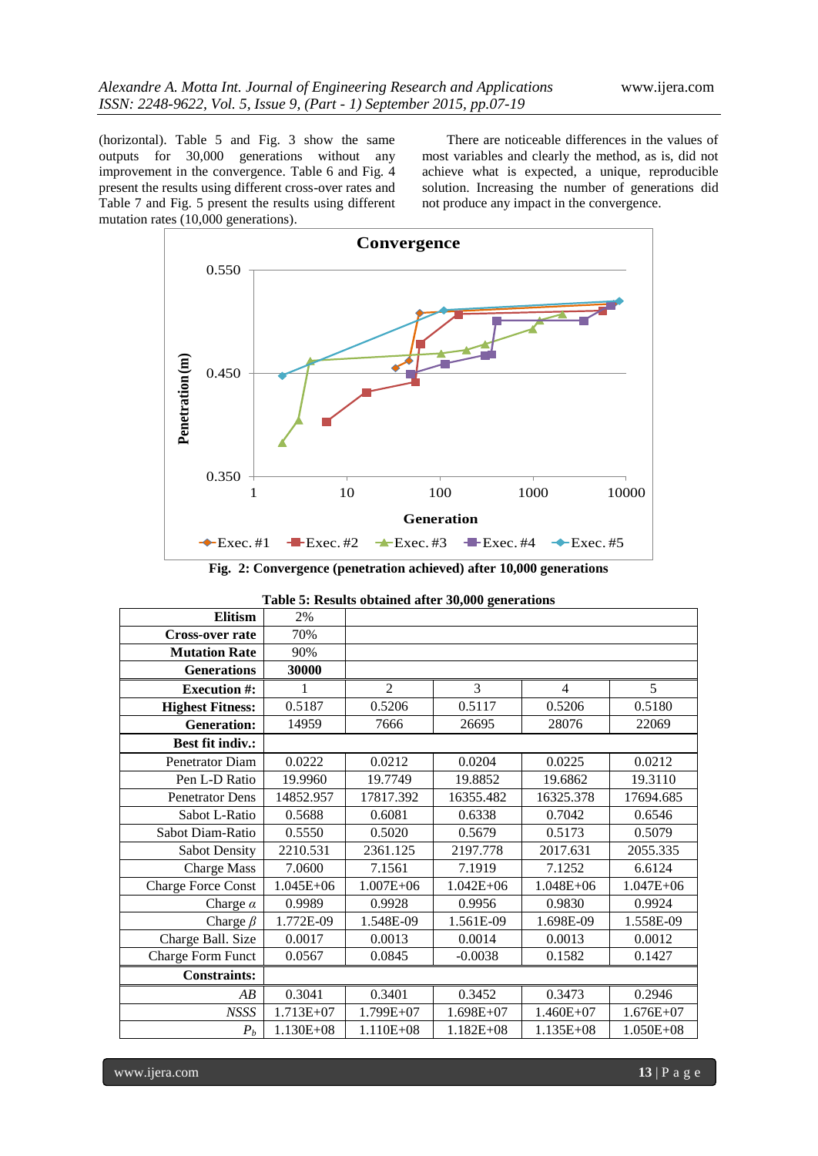(horizontal). Table 5 and Fig. 3 show the same outputs for 30,000 generations without any improvement in the convergence. Table 6 and Fig. 4 present the results using different cross-over rates and Table 7 and Fig. 5 present the results using different mutation rates (10,000 generations).

There are noticeable differences in the values of most variables and clearly the method, as is, did not achieve what is expected, a unique, reproducible solution. Increasing the number of generations did not produce any impact in the convergence.



**Fig. 2: Convergence (penetration achieved) after 10,000 generations**

|  |  | Table 5: Results obtained after 30,000 generations |
|--|--|----------------------------------------------------|
|  |  |                                                    |

| <b>Elitism</b>            | 2%            |                |               |                |               |
|---------------------------|---------------|----------------|---------------|----------------|---------------|
| <b>Cross-over rate</b>    | 70%           |                |               |                |               |
| <b>Mutation Rate</b>      | 90%           |                |               |                |               |
| <b>Generations</b>        | 30000         |                |               |                |               |
| <b>Execution #:</b>       | 1             | $\mathfrak{D}$ | 3             | $\overline{4}$ | 5             |
| <b>Highest Fitness:</b>   | 0.5187        | 0.5206         | 0.5117        | 0.5206         | 0.5180        |
| <b>Generation:</b>        | 14959         | 7666           | 26695         | 28076          | 22069         |
| <b>Best fit indiv.:</b>   |               |                |               |                |               |
| Penetrator Diam           | 0.0222        | 0.0212         | 0.0204        | 0.0225         | 0.0212        |
| Pen L-D Ratio             | 19.9960       | 19.7749        | 19.8852       | 19.6862        | 19.3110       |
| <b>Penetrator Dens</b>    | 14852.957     | 17817.392      | 16355.482     | 16325.378      | 17694.685     |
| Sabot L-Ratio             | 0.5688        | 0.6081         | 0.6338        | 0.7042         | 0.6546        |
| Sabot Diam-Ratio          | 0.5550        | 0.5020         | 0.5679        | 0.5173         | 0.5079        |
| <b>Sabot Density</b>      | 2210.531      | 2361.125       | 2197.778      | 2017.631       | 2055.335      |
| <b>Charge Mass</b>        | 7.0600        | 7.1561         | 7.1919        | 7.1252         | 6.6124        |
| <b>Charge Force Const</b> | $1.045E + 06$ | $1.007E + 06$  | $1.042E + 06$ | $1.048E + 06$  | $1.047E + 06$ |
| Charge $\alpha$           | 0.9989        | 0.9928         | 0.9956        | 0.9830         | 0.9924        |
| Charge $\beta$            | 1.772E-09     | 1.548E-09      | 1.561E-09     | 1.698E-09      | 1.558E-09     |
| Charge Ball. Size         | 0.0017        | 0.0013         | 0.0014        | 0.0013         | 0.0012        |
| <b>Charge Form Funct</b>  | 0.0567        | 0.0845         | $-0.0038$     | 0.1582         | 0.1427        |
| <b>Constraints:</b>       |               |                |               |                |               |
| AB                        | 0.3041        | 0.3401         | 0.3452        | 0.3473         | 0.2946        |
| <b>NSSS</b>               | $1.713E+07$   | 1.799E+07      | $1.698E+07$   | $1.460E+07$    | $1.676E + 07$ |
| $P_b$                     | 1.130E+08     | 1.110E+08      | $1.182E + 08$ | 1.135E+08      | 1.050E+08     |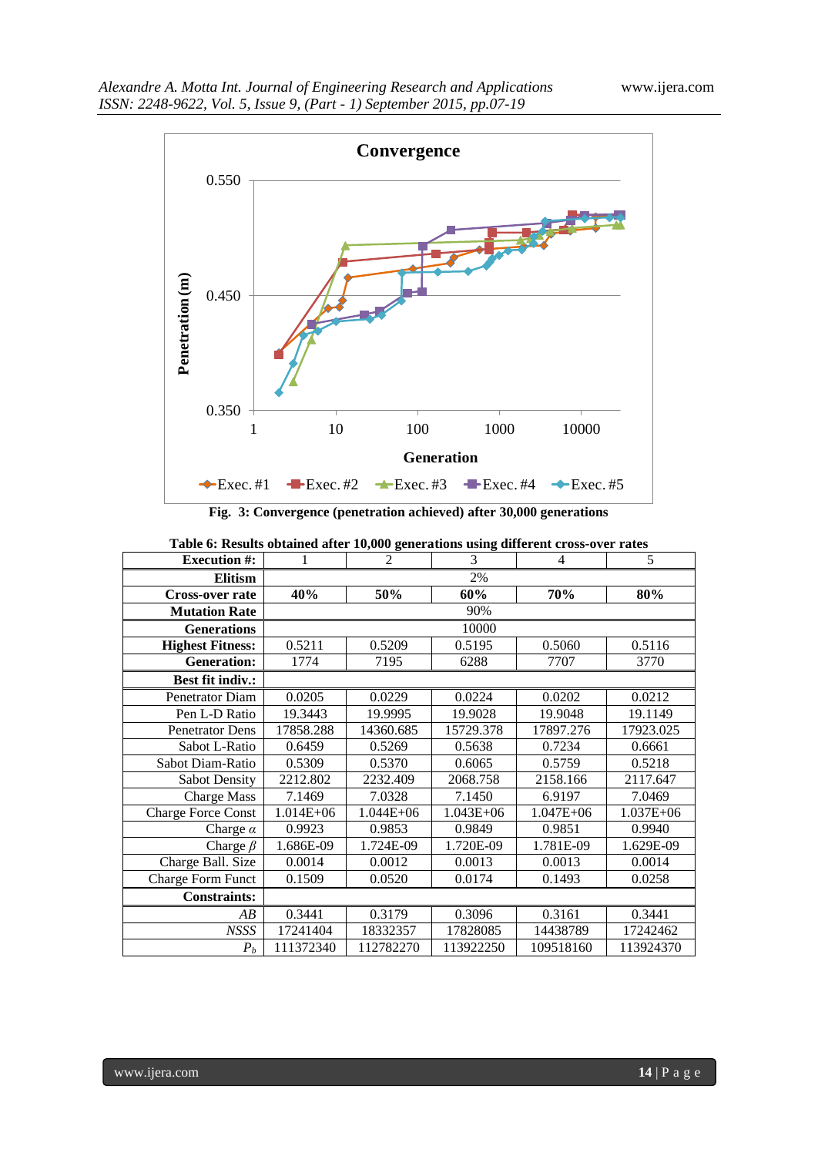

**Fig. 3: Convergence (penetration achieved) after 30,000 generations**

| 1             | $\overline{2}$ | 3             | $\overline{4}$ | 5             |
|---------------|----------------|---------------|----------------|---------------|
|               |                | 2%            |                |               |
| 40%           | 50%            | 60%           | 70%            | 80%           |
|               |                | 90%           |                |               |
|               |                | 10000         |                |               |
| 0.5211        | 0.5209         | 0.5195        | 0.5060         | 0.5116        |
| 1774          | 7195           | 6288          | 7707           | 3770          |
|               |                |               |                |               |
| 0.0205        | 0.0229         | 0.0224        | 0.0202         | 0.0212        |
| 19.3443       | 19.9995        | 19.9028       | 19.9048        | 19.1149       |
| 17858.288     | 14360.685      | 15729.378     | 17897.276      | 17923.025     |
| 0.6459        | 0.5269         | 0.5638        | 0.7234         | 0.6661        |
| 0.5309        | 0.5370         | 0.6065        | 0.5759         | 0.5218        |
| 2212.802      | 2232.409       | 2068.758      | 2158.166       | 2117.647      |
| 7.1469        | 7.0328         | 7.1450        | 6.9197         | 7.0469        |
| $1.014E + 06$ | $1.044E + 06$  | $1.043E + 06$ | $1.047E + 06$  | $1.037E + 06$ |
| 0.9923        | 0.9853         | 0.9849        | 0.9851         | 0.9940        |
| 1.686E-09     | 1.724E-09      | 1.720E-09     | 1.781E-09      | 1.629E-09     |
| 0.0014        | 0.0012         | 0.0013        | 0.0013         | 0.0014        |
| 0.1509        | 0.0520         | 0.0174        | 0.1493         | 0.0258        |
|               |                |               |                |               |
| 0.3441        | 0.3179         | 0.3096        | 0.3161         | 0.3441        |
| 17241404      | 18332357       | 17828085      | 14438789       | 17242462      |
| 111372340     | 112782270      | 113922250     | 109518160      | 113924370     |
|               |                |               |                |               |

**Table 6: Results obtained after 10,000 generations using different cross-over rates**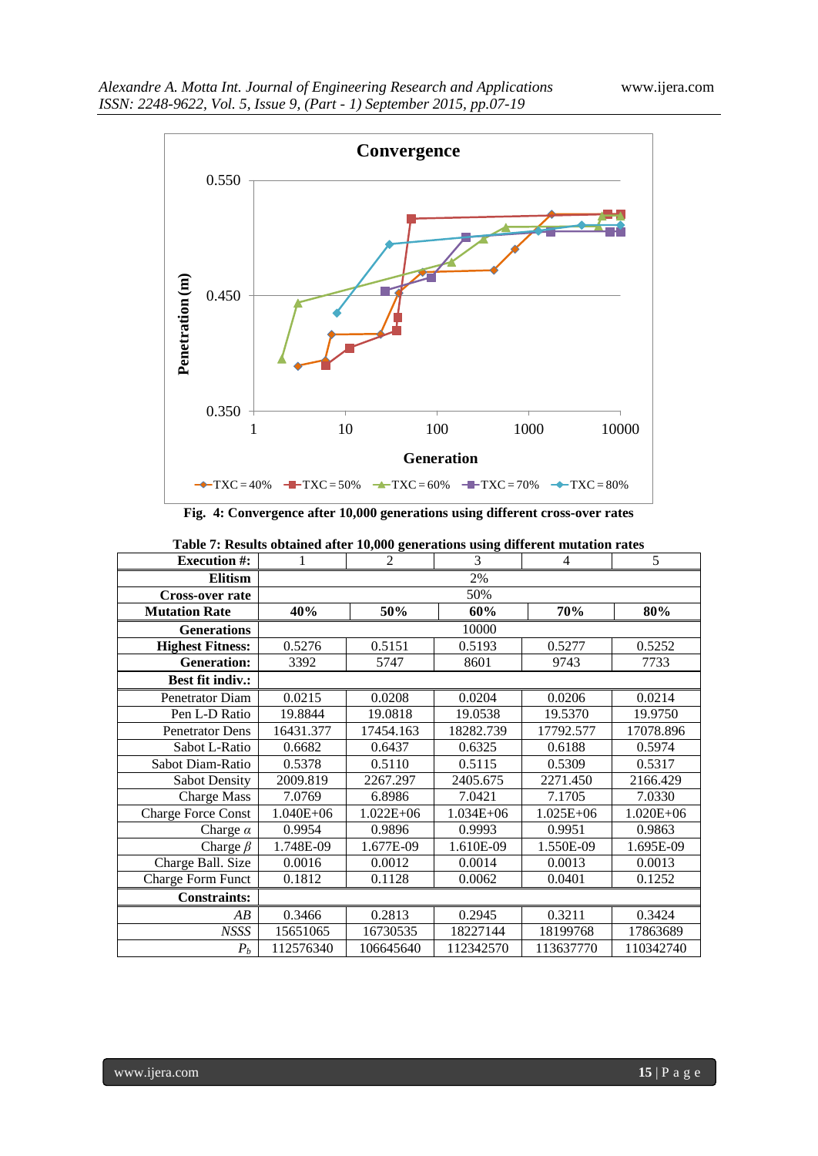

**Fig. 4: Convergence after 10,000 generations using different cross-over rates**

| <b>Execution #:</b>       | 1         | $\overline{2}$           | 3             | $\overline{4}$ | 5             |  |  |  |
|---------------------------|-----------|--------------------------|---------------|----------------|---------------|--|--|--|
| <b>Elitism</b>            |           |                          | 2%            |                |               |  |  |  |
| <b>Cross-over rate</b>    |           |                          | 50%           |                |               |  |  |  |
| <b>Mutation Rate</b>      | 40%       | 50%<br>60%<br>70%<br>80% |               |                |               |  |  |  |
| <b>Generations</b>        |           |                          | 10000         |                |               |  |  |  |
| <b>Highest Fitness:</b>   | 0.5276    | 0.5151                   | 0.5193        | 0.5277         | 0.5252        |  |  |  |
| <b>Generation:</b>        | 3392      | 5747                     | 8601          | 9743           | 7733          |  |  |  |
| <b>Best fit indiv.:</b>   |           |                          |               |                |               |  |  |  |
| Penetrator Diam           | 0.0215    | 0.0208                   | 0.0204        | 0.0206         | 0.0214        |  |  |  |
| Pen L-D Ratio             | 19.8844   | 19.0818                  | 19.0538       | 19.5370        | 19.9750       |  |  |  |
| <b>Penetrator Dens</b>    | 16431.377 | 17454.163                | 18282.739     | 17792.577      | 17078.896     |  |  |  |
| Sabot L-Ratio             | 0.6682    | 0.6437                   | 0.6325        | 0.6188         | 0.5974        |  |  |  |
| Sabot Diam-Ratio          | 0.5378    | 0.5110                   | 0.5115        | 0.5309         | 0.5317        |  |  |  |
| <b>Sabot Density</b>      | 2009.819  | 2267.297                 | 2405.675      | 2271.450       | 2166.429      |  |  |  |
| <b>Charge Mass</b>        | 7.0769    | 6.8986                   | 7.0421        | 7.1705         | 7.0330        |  |  |  |
| <b>Charge Force Const</b> | 1.040E+06 | $1.022E + 06$            | $1.034E + 06$ | 1.025E+06      | $1.020E + 06$ |  |  |  |
| Charge $\alpha$           | 0.9954    | 0.9896                   | 0.9993        | 0.9951         | 0.9863        |  |  |  |
| Charge $\beta$            | 1.748E-09 | 1.677E-09                | 1.610E-09     | 1.550E-09      | 1.695E-09     |  |  |  |
| Charge Ball. Size         | 0.0016    | 0.0012                   | 0.0014        | 0.0013         | 0.0013        |  |  |  |
| Charge Form Funct         | 0.1812    | 0.1128                   | 0.0062        | 0.0401         | 0.1252        |  |  |  |
| <b>Constraints:</b>       |           |                          |               |                |               |  |  |  |
| AB                        | 0.3466    | 0.2813                   | 0.2945        | 0.3211         | 0.3424        |  |  |  |
| <b>NSSS</b>               | 15651065  | 16730535                 | 18227144      | 18199768       | 17863689      |  |  |  |
| $P_b$                     | 112576340 | 106645640                | 112342570     | 113637770      | 110342740     |  |  |  |

| Table 7: Results obtained after 10,000 generations using different mutation rates |  |  |  |  |  |  |  |  |
|-----------------------------------------------------------------------------------|--|--|--|--|--|--|--|--|
|-----------------------------------------------------------------------------------|--|--|--|--|--|--|--|--|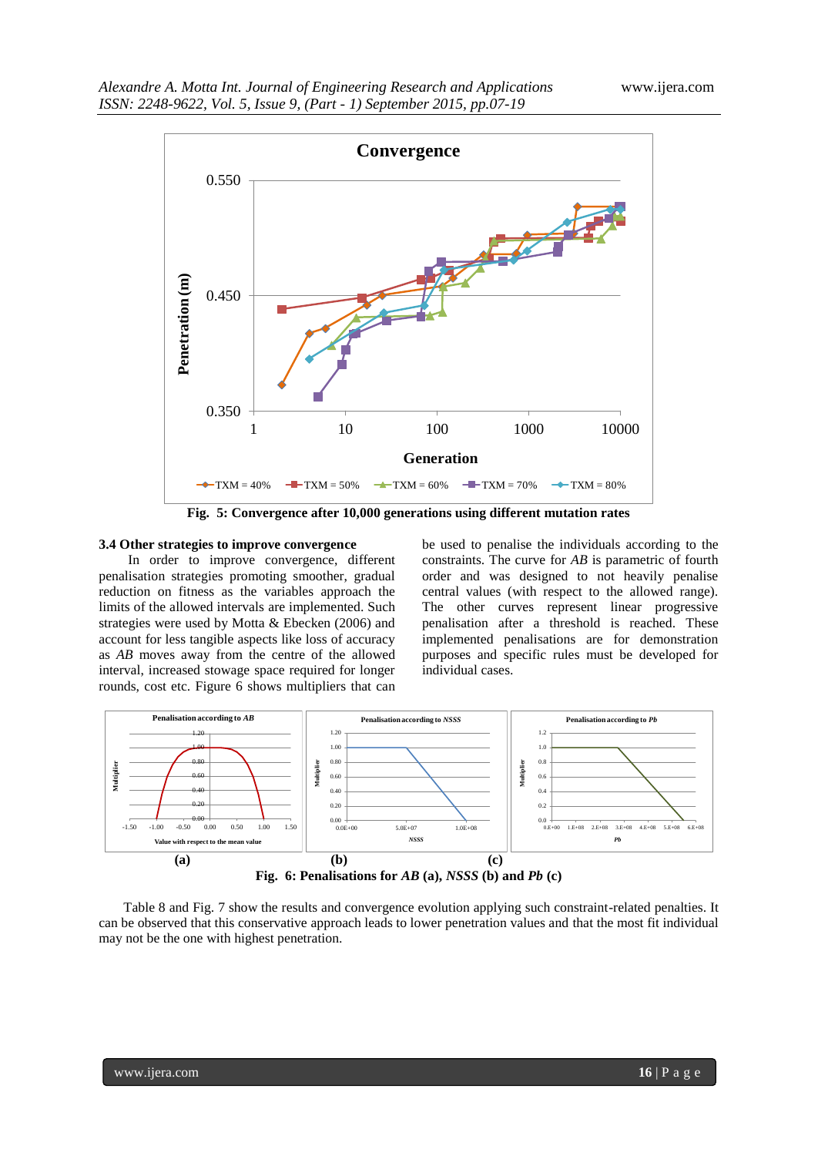

**Fig. 5: Convergence after 10,000 generations using different mutation rates**

#### **3.4 Other strategies to improve convergence**

In order to improve convergence, different penalisation strategies promoting smoother, gradual reduction on fitness as the variables approach the limits of the allowed intervals are implemented. Such strategies were used by Motta & Ebecken (2006) and account for less tangible aspects like loss of accuracy as *AB* moves away from the centre of the allowed interval, increased stowage space required for longer rounds, cost etc. Figure 6 shows multipliers that can

be used to penalise the individuals according to the constraints. The curve for *AB* is parametric of fourth order and was designed to not heavily penalise central values (with respect to the allowed range). The other curves represent linear progressive penalisation after a threshold is reached. These implemented penalisations are for demonstration purposes and specific rules must be developed for individual cases.



Table 8 and Fig. 7 show the results and convergence evolution applying such constraint-related penalties. It can be observed that this conservative approach leads to lower penetration values and that the most fit individual may not be the one with highest penetration.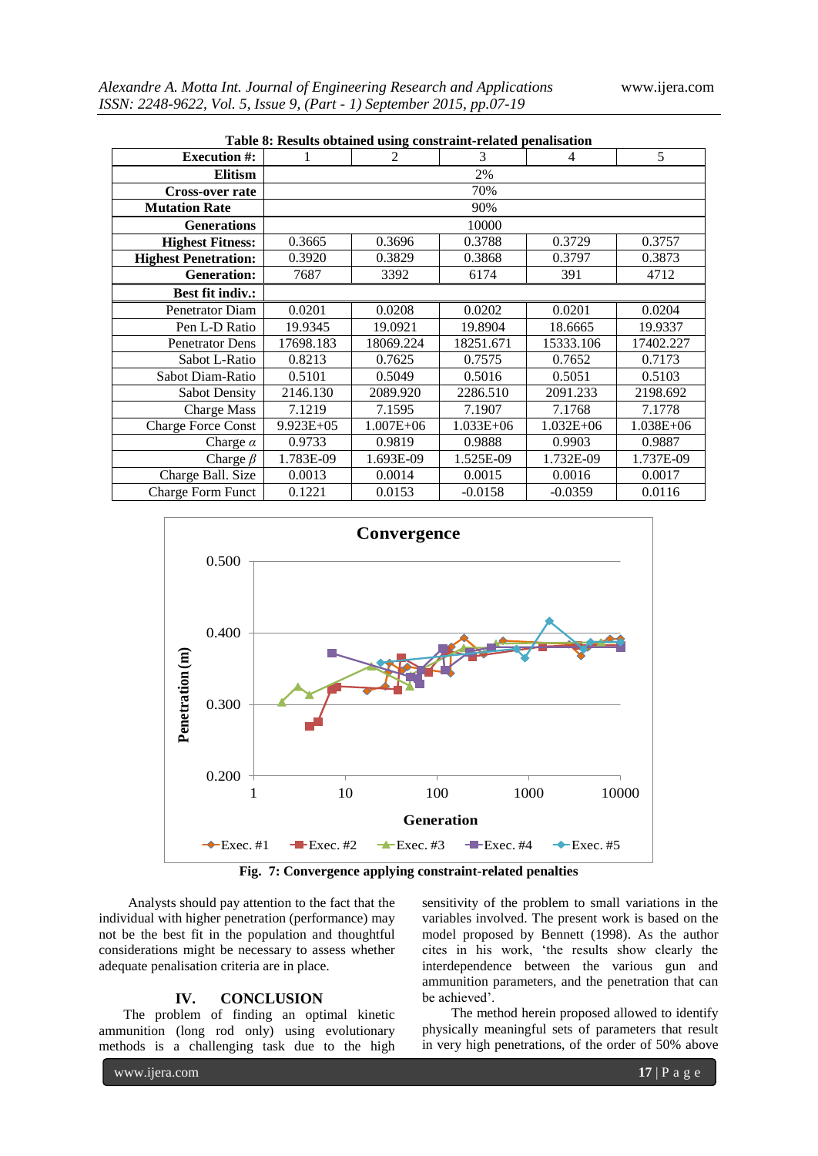| Table 8: Results obtained using constraint-related penalisation |           |               |           |               |           |  |  |  |
|-----------------------------------------------------------------|-----------|---------------|-----------|---------------|-----------|--|--|--|
| <b>Execution #:</b>                                             |           | 2             | 3         | 4             | 5         |  |  |  |
| <b>Elitism</b>                                                  |           |               | 2%        |               |           |  |  |  |
| Cross-over rate                                                 |           |               | 70%       |               |           |  |  |  |
| <b>Mutation Rate</b>                                            |           |               | 90%       |               |           |  |  |  |
| <b>Generations</b>                                              |           |               | 10000     |               |           |  |  |  |
| <b>Highest Fitness:</b>                                         | 0.3665    | 0.3696        | 0.3788    | 0.3729        | 0.3757    |  |  |  |
| <b>Highest Penetration:</b>                                     | 0.3920    | 0.3829        | 0.3868    | 0.3797        | 0.3873    |  |  |  |
| <b>Generation:</b>                                              | 7687      | 3392          | 6174      | 391           | 4712      |  |  |  |
| <b>Best fit indiv.:</b>                                         |           |               |           |               |           |  |  |  |
| <b>Penetrator Diam</b>                                          | 0.0201    | 0.0208        | 0.0202    | 0.0201        | 0.0204    |  |  |  |
| Pen L-D Ratio                                                   | 19.9345   | 19.0921       | 19.8904   | 18.6665       | 19.9337   |  |  |  |
| <b>Penetrator Dens</b>                                          | 17698.183 | 18069.224     | 18251.671 | 15333.106     | 17402.227 |  |  |  |
| Sabot L-Ratio                                                   | 0.8213    | 0.7625        | 0.7575    | 0.7652        | 0.7173    |  |  |  |
| Sabot Diam-Ratio                                                | 0.5101    | 0.5049        | 0.5016    | 0.5051        | 0.5103    |  |  |  |
| <b>Sabot Density</b>                                            | 2146.130  | 2089.920      | 2286.510  | 2091.233      | 2198.692  |  |  |  |
| <b>Charge Mass</b>                                              | 7.1219    | 7.1595        | 7.1907    | 7.1768        | 7.1778    |  |  |  |
| <b>Charge Force Const</b>                                       | 9.923E+05 | $1.007E + 06$ | 1.033E+06 | $1.032E + 06$ | 1.038E+06 |  |  |  |
| Charge $\alpha$                                                 | 0.9733    | 0.9819        | 0.9888    | 0.9903        | 0.9887    |  |  |  |
| Charge $\beta$                                                  | 1.783E-09 | 1.693E-09     | 1.525E-09 | 1.732E-09     | 1.737E-09 |  |  |  |
| Charge Ball. Size                                               | 0.0013    | 0.0014        | 0.0015    | 0.0016        | 0.0017    |  |  |  |
| <b>Charge Form Funct</b>                                        | 0.1221    | 0.0153        | $-0.0158$ | $-0.0359$     | 0.0116    |  |  |  |





Analysts should pay attention to the fact that the individual with higher penetration (performance) may not be the best fit in the population and thoughtful considerations might be necessary to assess whether adequate penalisation criteria are in place.

# **IV. CONCLUSION**

The problem of finding an optimal kinetic ammunition (long rod only) using evolutionary methods is a challenging task due to the high sensitivity of the problem to small variations in the variables involved. The present work is based on the model proposed by Bennett (1998). As the author cites in his work, "the results show clearly the interdependence between the various gun and ammunition parameters, and the penetration that can be achieved'.

The method herein proposed allowed to identify physically meaningful sets of parameters that result in very high penetrations, of the order of 50% above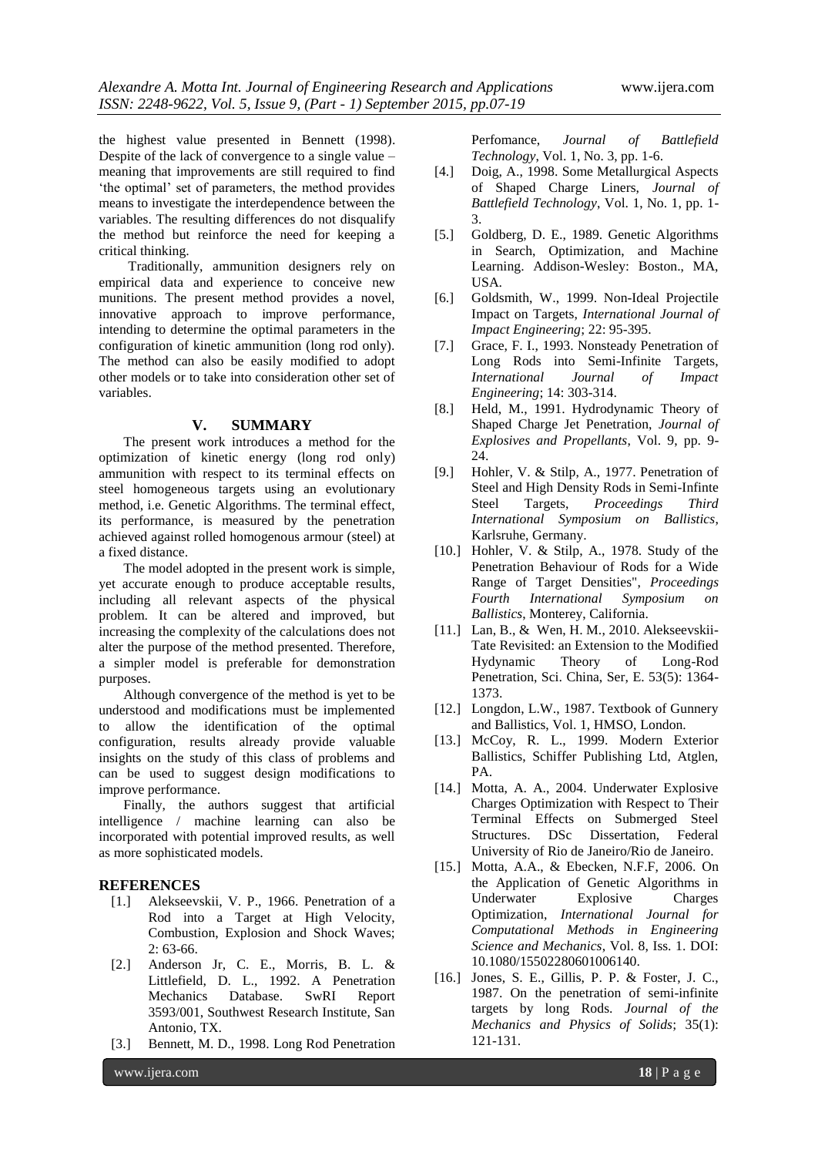the highest value presented in Bennett (1998). Despite of the lack of convergence to a single value – meaning that improvements are still required to find "the optimal" set of parameters, the method provides means to investigate the interdependence between the variables. The resulting differences do not disqualify the method but reinforce the need for keeping a critical thinking.

Traditionally, ammunition designers rely on empirical data and experience to conceive new munitions. The present method provides a novel, innovative approach to improve performance, intending to determine the optimal parameters in the configuration of kinetic ammunition (long rod only). The method can also be easily modified to adopt other models or to take into consideration other set of variables.

## **V. SUMMARY**

The present work introduces a method for the optimization of kinetic energy (long rod only) ammunition with respect to its terminal effects on steel homogeneous targets using an evolutionary method, i.e. Genetic Algorithms. The terminal effect, its performance, is measured by the penetration achieved against rolled homogenous armour (steel) at a fixed distance.

The model adopted in the present work is simple, yet accurate enough to produce acceptable results, including all relevant aspects of the physical problem. It can be altered and improved, but increasing the complexity of the calculations does not alter the purpose of the method presented. Therefore, a simpler model is preferable for demonstration purposes.

Although convergence of the method is yet to be understood and modifications must be implemented to allow the identification of the optimal configuration, results already provide valuable insights on the study of this class of problems and can be used to suggest design modifications to improve performance.

Finally, the authors suggest that artificial intelligence / machine learning can also be incorporated with potential improved results, as well as more sophisticated models.

## **REFERENCES**

- [1.] Alekseevskii, V. P., 1966. Penetration of a Rod into a Target at High Velocity, Combustion, Explosion and Shock Waves; 2: 63-66.
- [2.] Anderson Jr, C. E., Morris, B. L. & Littlefield, D. L., 1992. A Penetration Mechanics Database. SwRI Report 3593/001, Southwest Research Institute, San Antonio, TX.
- [3.] Bennett, M. D., 1998. Long Rod Penetration

Perfomance, *Journal of Battlefield Technology*, Vol. 1, No. 3, pp. 1-6.

- [4.] Doig, A., 1998. Some Metallurgical Aspects of Shaped Charge Liners, *Journal of Battlefield Technology*, Vol. 1, No. 1, pp. 1- 3.
- [5.] Goldberg, D. E., 1989. Genetic Algorithms in Search, Optimization, and Machine Learning. Addison-Wesley: Boston., MA, USA.
- [6.] Goldsmith, W., 1999. Non-Ideal Projectile Impact on Targets, *International Journal of Impact Engineering*; 22: 95-395.
- [7.] Grace, F. I., 1993. Nonsteady Penetration of Long Rods into Semi-Infinite Targets, *International Journal of Impact Engineering*; 14: 303-314.
- [8.] Held, M., 1991. Hydrodynamic Theory of Shaped Charge Jet Penetration, *Journal of Explosives and Propellants*, Vol. 9, pp. 9- 24.
- [9.] Hohler, V. & Stilp, A., 1977. Penetration of Steel and High Density Rods in Semi-Infinte Steel Targets, *Proceedings Third International Symposium on Ballistics*, Karlsruhe, Germany.
- [10.] Hohler, V. & Stilp, A., 1978. Study of the Penetration Behaviour of Rods for a Wide Range of Target Densities", *Proceedings Fourth International Symposium on Ballistics*, Monterey, California.
- [11.] Lan, B., & Wen, H. M., 2010. Alekseevskii-Tate Revisited: an Extension to the Modified Hydynamic Theory of Long-Rod Penetration, Sci. China, Ser, E. 53(5): 1364- 1373.
- [12.] Longdon, L.W., 1987. Textbook of Gunnery and Ballistics, Vol. 1, HMSO, London.
- [13.] McCoy, R. L., 1999. Modern Exterior Ballistics, Schiffer Publishing Ltd, Atglen, PA.
- [14.] Motta, A. A., 2004. Underwater Explosive Charges Optimization with Respect to Their Terminal Effects on Submerged Steel Structures. DSc Dissertation, Federal University of Rio de Janeiro/Rio de Janeiro.
- [15.] Motta, A.A., & Ebecken, N.F.F, 2006. On the Application of Genetic Algorithms in Underwater Explosive Charges Optimization, *International Journal for Computational Methods in Engineering Science and Mechanics*, Vol. 8, Iss. 1. DOI: 10.1080/15502280601006140.
- [16.] Jones, S. E., Gillis, P. P. & Foster, J. C., 1987. On the penetration of semi-infinite targets by long Rods. *Journal of the Mechanics and Physics of Solids*; 35(1): 121-131.